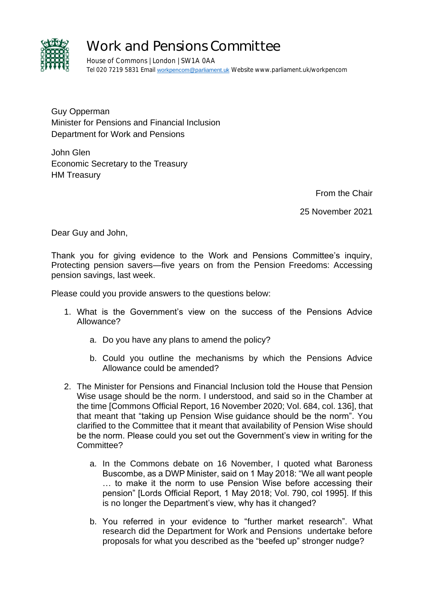

## Work and Pensions Committee

House of Commons | London | SW1A 0AA Tel 020 7219 5831 Email [workpencom@parliament.uk](mailto:workpencom@parliament.uk) Website www.parliament.uk/workpencom

Guy Opperman Minister for Pensions and Financial Inclusion Department for Work and Pensions

John Glen Economic Secretary to the Treasury HM Treasury

From the Chair

25 November 2021

Dear Guy and John,

Thank you for giving evidence to the Work and Pensions Committee's inquiry, Protecting pension savers—five years on from the Pension Freedoms: Accessing pension savings, last week.

Please could you provide answers to the questions below:

- 1. What is the Government's view on the success of the Pensions Advice Allowance?
	- a. Do you have any plans to amend the policy?
	- b. Could you outline the mechanisms by which the Pensions Advice Allowance could be amended?
- 2. The Minister for Pensions and Financial Inclusion told the House that Pension Wise usage should be the norm. I understood, and said so in the Chamber at the time [Commons Official Report, 16 November 2020; Vol. 684, col. 136], that that meant that "taking up Pension Wise guidance should be the norm". You clarified to the Committee that it meant that availability of Pension Wise should be the norm. Please could you set out the Government's view in writing for the Committee?
	- a. In the Commons debate on 16 November, I quoted what Baroness Buscombe, as a DWP Minister, said on 1 May 2018: "We all want people … to make it the norm to use Pension Wise before accessing their pension" [Lords Official Report, 1 May 2018; Vol. 790, col 1995]. If this is no longer the Department's view, why has it changed?
	- b. You referred in your evidence to "further market research". What research did the Department for Work and Pensions undertake before proposals for what you described as the "beefed up" stronger nudge?